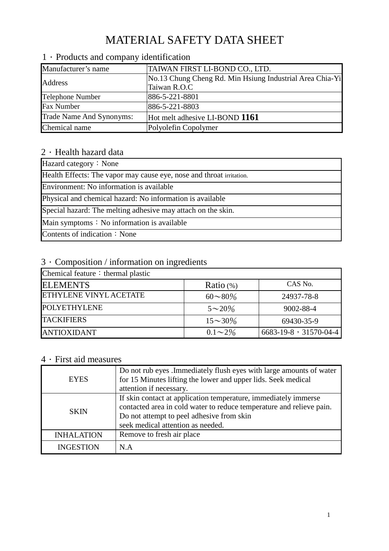# MATERIAL SAFETY DATA SHEET

| Manufacturer's name      | TAIWAN FIRST LI-BOND CO., LTD.                           |
|--------------------------|----------------------------------------------------------|
| Address                  | No.13 Chung Cheng Rd. Min Hsiung Industrial Area Chia-Yi |
|                          | Taiwan R.O.C                                             |
| <b>Telephone Number</b>  | 886-5-221-8801                                           |
| <b>Fax Number</b>        | 886-5-221-8803                                           |
| Trade Name And Synonyms: | Hot melt adhesive LI-BOND 1161                           |
| Chemical name            | Polyolefin Copolymer                                     |

## 1 · Products and company identification

### $2$   $\cdot$  Health hazard data

## 3.Composition / information on ingredients

| Chemical feature: thermal plastic |                |                       |
|-----------------------------------|----------------|-----------------------|
| <b>ELEMENTS</b>                   | Ratio $(\%)$   | CAS No.               |
| <b>ETHYLENE VINYL ACETATE</b>     | $60 \sim 80\%$ | 24937-78-8            |
| <b>POLYETHYLENE</b>               | $5 \sim 20\%$  | 9002-88-4             |
| <b>TACKIFIERS</b>                 | $15 \sim 30\%$ | 69430-35-9            |
| <b>JANTIOXIDANT</b>               | $0.1\sim 2\%$  | 6683-19-8, 31570-04-4 |

### $4 \cdot$  First aid measures

| <b>EYES</b>       | Do not rub eyes .Immediately flush eyes with large amounts of water<br>for 15 Minutes lifting the lower and upper lids. Seek medical<br>attention if necessary.                                                           |
|-------------------|---------------------------------------------------------------------------------------------------------------------------------------------------------------------------------------------------------------------------|
| <b>SKIN</b>       | If skin contact at application temperature, immediately immerse<br>contacted area in cold water to reduce temperature and relieve pain.<br>Do not attempt to peel adhesive from skin<br>seek medical attention as needed. |
| <b>INHALATION</b> | Remove to fresh air place                                                                                                                                                                                                 |
| <b>INGESTION</b>  | N.A                                                                                                                                                                                                                       |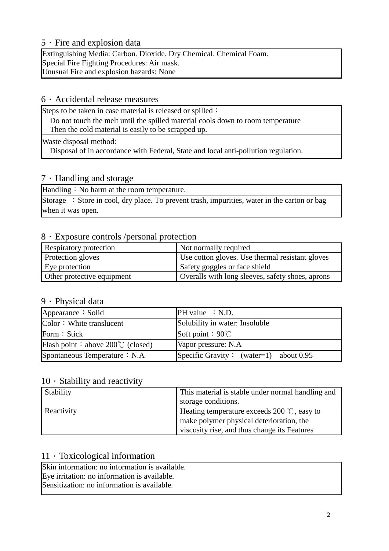#### 5.Fire and explosion data

Extinguishing Media: Carbon. Dioxide. Dry Chemical. Chemical Foam. Special Fire Fighting Procedures: Air mask. Unusual Fire and explosion hazards: None

#### $6 \cdot$  Accidental release measures

Steps to be taken in case material is released or spilled:

Do not touch the melt until the spilled material cools down to room temperature Then the cold material is easily to be scrapped up.

Waste disposal method:

Disposal of in accordance with Federal, State and local anti-pollution regulation.

#### $7 \cdot$  Handling and storage

Handling: No harm at the room temperature.

Storage : Store in cool, dry place. To prevent trash, impurities, water in the carton or bag when it was open.

#### 8.Exposure controls /personal protection

| Respiratory protection     | Not normally required                            |
|----------------------------|--------------------------------------------------|
| Protection gloves          | Use cotton gloves. Use thermal resistant gloves  |
| Eye protection             | Safety goggles or face shield                    |
| Other protective equipment | Overalls with long sleeves, safety shoes, aprons |

#### 9.Physical data

| Appearance: Solid                         | PH value : N.D.                          |
|-------------------------------------------|------------------------------------------|
| Color: White translucent                  | Solubility in water: Insoluble           |
| Form: Stick                               | Soft point : $90^{\circ}$ C              |
| Flash point: above $200^{\circ}$ (closed) | Vapor pressure: N.A.                     |
| Spontaneous Temperature : N.A.            | Specific Gravity: (water=1) about $0.95$ |

#### $10 \cdot$  Stability and reactivity

| Stability  | This material is stable under normal handling and<br>storage conditions.                         |
|------------|--------------------------------------------------------------------------------------------------|
| Reactivity | Heating temperature exceeds 200 $\degree$ C, easy to<br>make polymer physical deterioration, the |
|            | viscosity rise, and thus change its Features                                                     |

#### $11 \cdot$  Toxicological information

Skin information: no information is available. Eye irritation: no information is available. Sensitization: no information is available.